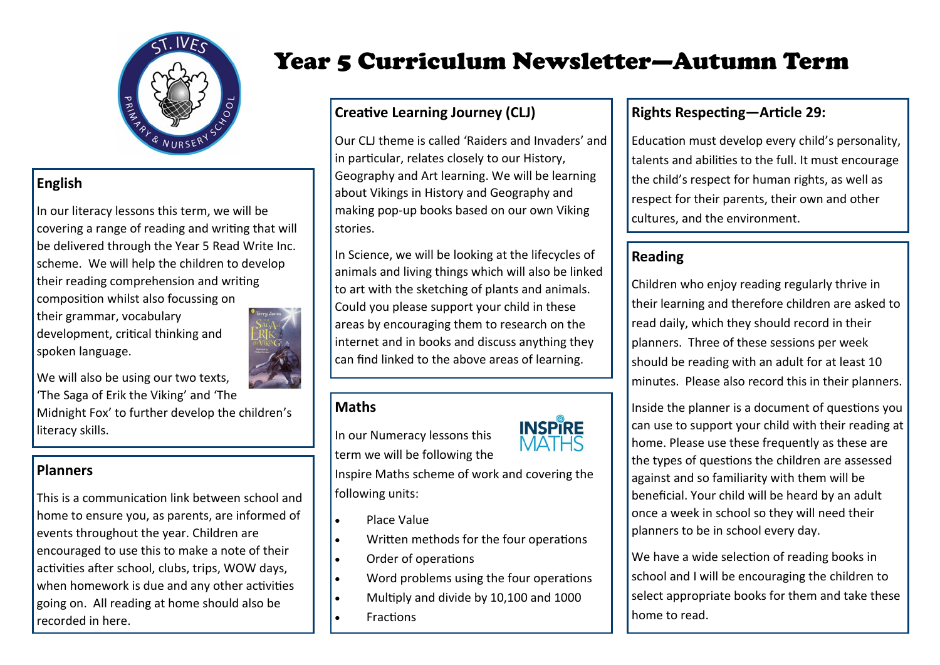

## **English**

In our literacy lessons this term, we will be covering a range of reading and writing that will be delivered through the Year 5 Read Write Inc. scheme. We will help the children to develop their reading comprehension and writing composition whilst also focussing on

their grammar, vocabulary development, critical thinking and spoken language.



We will also be using our two texts, 'The Saga of Erik the Viking' and 'The Midnight Fox' to further develop the children's literacy skills.

## **Planners**

This is a communication link between school and home to ensure you, as parents, are informed of events throughout the year. Children are encouraged to use this to make a note of their activities after school, clubs, trips, WOW days, when homework is due and any other activities going on. All reading at home should also be recorded in here.

# Year 5 Curriculum Newsletter—Autumn Term

## **Creative Learning Journey (CLJ)**

Our CLJ theme is called 'Raiders and Invaders' and in particular, relates closely to our History, Geography and Art learning. We will be learning about Vikings in History and Geography and making pop-up books based on our own Viking stories.

In Science, we will be looking at the lifecycles of animals and living things which will also be linked to art with the sketching of plants and animals. Could you please support your child in these areas by encouraging them to research on the internet and in books and discuss anything they can find linked to the above areas of learning.

## **Maths**

In our Numeracy lessons this term we will be following the



Inspire Maths scheme of work and covering the following units:

- Place Value
- **.** Written methods for the four operations
- Order of operations
- Word problems using the four operations
- Multiply and divide by 10,100 and 1000
- Fractions

## **Rights Respecting—Article 29:**

Education must develop every child's personality, talents and abilities to the full. It must encourage the child's respect for human rights, as well as respect for their parents, their own and other cultures, and the environment.

## **Reading**

Children who enjoy reading regularly thrive in their learning and therefore children are asked to read daily, which they should record in their planners. Three of these sessions per week should be reading with an adult for at least 10 minutes. Please also record this in their planners.

Inside the planner is a document of questions you can use to support your child with their reading at home. Please use these frequently as these are the types of questions the children are assessed against and so familiarity with them will be beneficial. Your child will be heard by an adult once a week in school so they will need their planners to be in school every day.

We have a wide selection of reading books in school and I will be encouraging the children to select appropriate books for them and take these home to read.